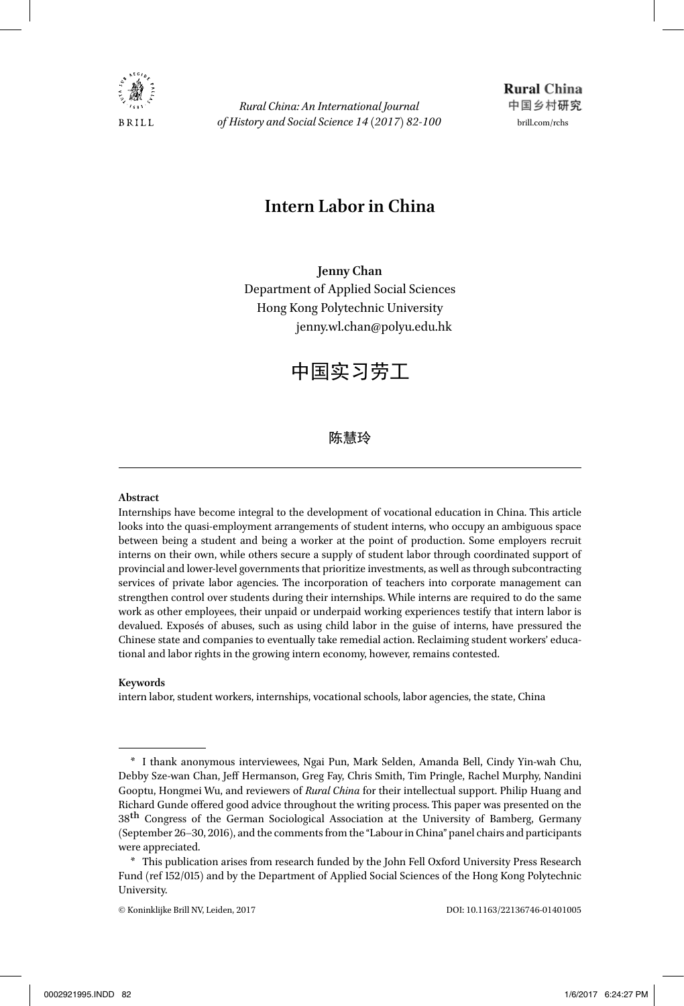

*Rural China: An International Journal of History and Social Science 14 (2017*) *82-100* **Rural China** 中国乡村研究 brill.com/rchs

# **Intern Labor in China**

**Jenny Chan** Department of Applied Social Sciences Hong Kong Polytechnic University jenny.wl.chan@polyu.edu.hk



陈慧玲

### **Abstract**

Internships have become integral to the development of vocational education in China. This article looks into the quasi-employment arrangements of student interns, who occupy an ambiguous space between being a student and being a worker at the point of production. Some employers recruit interns on their own, while others secure a supply of student labor through coordinated support of provincial and lower-level governments that prioritize investments, as well as through subcontracting services of private labor agencies. The incorporation of teachers into corporate management can strengthen control over students during their internships. While interns are required to do the same work as other employees, their unpaid or underpaid working experiences testify that intern labor is devalued. Exposés of abuses, such as using child labor in the guise of interns, have pressured the Chinese state and companies to eventually take remedial action. Reclaiming student workers' educational and labor rights in the growing intern economy, however, remains contested.

### **Keywords**

intern labor, student workers, internships, vocational schools, labor agencies, the state, China

© Koninklijke Brill NV, Leiden, 2017 DOI: 10.1163/22136746-01401005

<sup>\*</sup> I thank anonymous interviewees, Ngai Pun, Mark Selden, Amanda Bell, Cindy Yin-wah Chu, Debby Sze-wan Chan, Jeff Hermanson, Greg Fay, Chris Smith, Tim Pringle, Rachel Murphy, Nandini Gooptu, Hongmei Wu, and reviewers of *Rural China* for their intellectual support. Philip Huang and Richard Gunde offered good advice throughout the writing process. This paper was presented on the 38th Congress of the German Sociological Association at the University of Bamberg, Germany (September 26–30, 2016), and the comments from the "Labour in China" panel chairs and participants were appreciated.

<sup>\*</sup> This publication arises from research funded by the John Fell Oxford University Press Research Fund (ref 152/015) and by the Department of Applied Social Sciences of the Hong Kong Polytechnic University.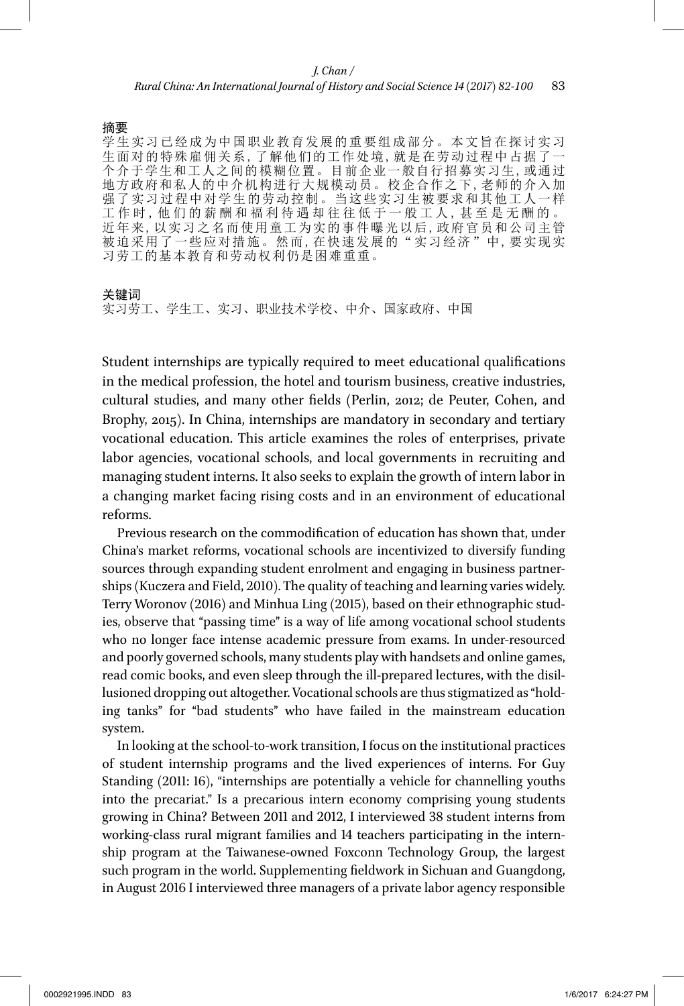摘要 学生实习已经成为中国职业教育发展的重要组成部分。本文旨在探讨实习 生面对的特殊雇佣关系,了解他们的工作处境,就是在劳动过程中占据了一 个介于学生和工人之间的模糊位置。目前企业一般自行招募实习生,或通过 地方政府和私人的中介机构进行大规模动员。校企合作之下,老师的介入加 强了实习过程中对学生的劳动控制。当这些实习生被要求和其他工人一样 工作时,他们的薪酬和福利待遇却往往低于一般工人,甚至是无酬的。 近年来,以实习之名而使用童工为实的事件曝光以后,政府官员和公司主管 被迫采用了一些应对措施。然而, 在快速发展的"实习经济"中, 要实现实 习劳工的基本教育和劳动权利仍是困难重重。

关键词

实习劳工、学生工、实习、职业技术学校、中介、国家政府、中国

Student internships are typically required to meet educational qualifications in the medical profession, the hotel and tourism business, creative industries, cultural studies, and many other fields (Perlin, 2012; de Peuter, Cohen, and Brophy, 2015). In China, internships are mandatory in secondary and tertiary vocational education. This article examines the roles of enterprises, private labor agencies, vocational schools, and local governments in recruiting and managing student interns. It also seeks to explain the growth of intern labor in a changing market facing rising costs and in an environment of educational reforms.

Previous research on the commodification of education has shown that, under China's market reforms, vocational schools are incentivized to diversify funding sources through expanding student enrolment and engaging in business partnerships (Kuczera and Field, 2010). The quality of teaching and learning varies widely. Terry Woronov (2016) and Minhua Ling (2015), based on their ethnographic studies, observe that "passing time" is a way of life among vocational school students who no longer face intense academic pressure from exams. In under-resourced and poorly governed schools, many students play with handsets and online games, read comic books, and even sleep through the ill-prepared lectures, with the disillusioned dropping out altogether. Vocational schools are thus stigmatized as "holding tanks" for "bad students" who have failed in the mainstream education system.

In looking at the school-to-work transition, I focus on the institutional practices of student internship programs and the lived experiences of interns. For Guy Standing (2011: 16), "internships are potentially a vehicle for channelling youths into the precariat." Is a precarious intern economy comprising young students growing in China? Between 2011 and 2012, I interviewed 38 student interns from working-class rural migrant families and 14 teachers participating in the internship program at the Taiwanese-owned Foxconn Technology Group, the largest such program in the world. Supplementing fieldwork in Sichuan and Guangdong, in August 2016 I interviewed three managers of a private labor agency responsible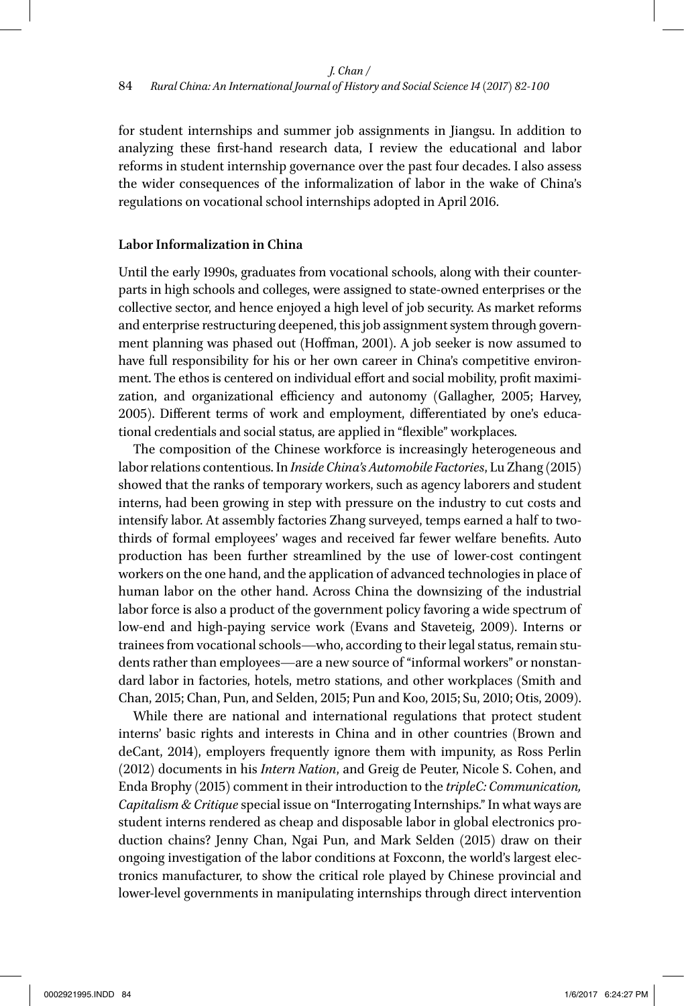for student internships and summer job assignments in Jiangsu. In addition to analyzing these first-hand research data, I review the educational and labor reforms in student internship governance over the past four decades. I also assess the wider consequences of the informalization of labor in the wake of China's regulations on vocational school internships adopted in April 2016.

## **Labor Informalization in China**

Until the early 1990s, graduates from vocational schools, along with their counterparts in high schools and colleges, were assigned to state-owned enterprises or the collective sector, and hence enjoyed a high level of job security. As market reforms and enterprise restructuring deepened, this job assignment system through government planning was phased out (Hoffman, 2001). A job seeker is now assumed to have full responsibility for his or her own career in China's competitive environment. The ethos is centered on individual effort and social mobility, profit maximization, and organizational efficiency and autonomy (Gallagher, 2005; Harvey, 2005). Different terms of work and employment, differentiated by one's educational credentials and social status, are applied in "flexible" workplaces.

The composition of the Chinese workforce is increasingly heterogeneous and labor relations contentious. In *Inside China's Automobile Factories*, Lu Zhang (2015) showed that the ranks of temporary workers, such as agency laborers and student interns, had been growing in step with pressure on the industry to cut costs and intensify labor. At assembly factories Zhang surveyed, temps earned a half to twothirds of formal employees' wages and received far fewer welfare benefits. Auto production has been further streamlined by the use of lower-cost contingent workers on the one hand, and the application of advanced technologies in place of human labor on the other hand. Across China the downsizing of the industrial labor force is also a product of the government policy favoring a wide spectrum of low-end and high-paying service work (Evans and Staveteig, 2009). Interns or trainees from vocational schools—who, according to their legal status, remain students rather than employees—are a new source of "informal workers" or nonstandard labor in factories, hotels, metro stations, and other workplaces (Smith and Chan, 2015; Chan, Pun, and Selden, 2015; Pun and Koo, 2015; Su, 2010; Otis, 2009).

While there are national and international regulations that protect student interns' basic rights and interests in China and in other countries (Brown and deCant, 2014), employers frequently ignore them with impunity, as Ross Perlin (2012) documents in his *Intern Nation*, and Greig de Peuter, Nicole S. Cohen, and Enda Brophy (2015) comment in their introduction to the *tripleC: Communication, Capitalism & Critique* special issue on "Interrogating Internships." In what ways are student interns rendered as cheap and disposable labor in global electronics production chains? Jenny Chan, Ngai Pun, and Mark Selden (2015) draw on their ongoing investigation of the labor conditions at Foxconn, the world's largest electronics manufacturer, to show the critical role played by Chinese provincial and lower-level governments in manipulating internships through direct intervention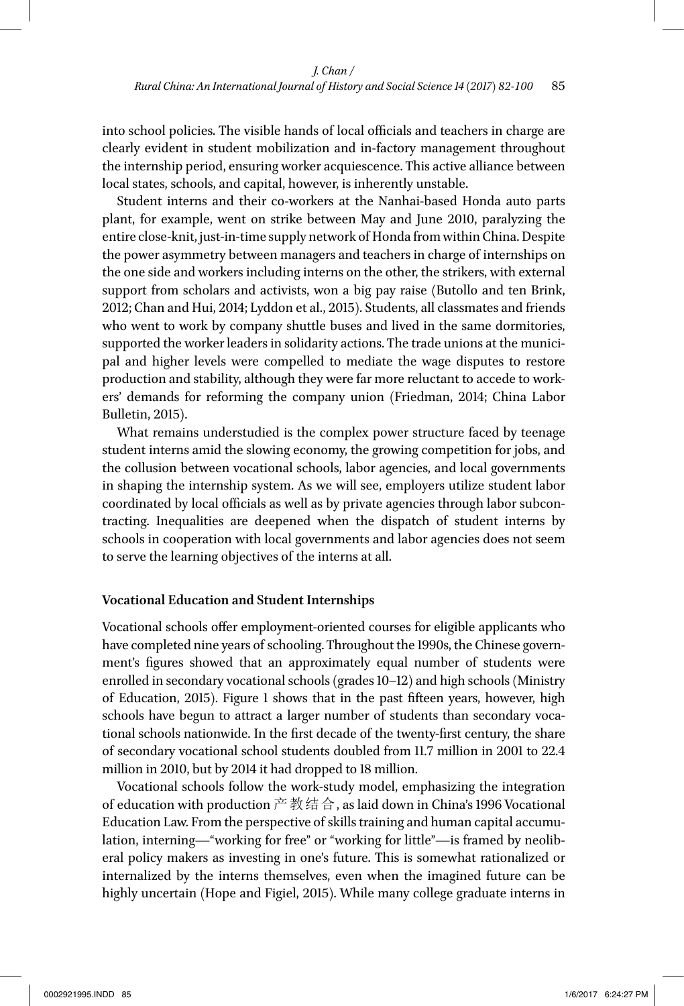into school policies. The visible hands of local officials and teachers in charge are clearly evident in student mobilization and in-factory management throughout the internship period, ensuring worker acquiescence. This active alliance between local states, schools, and capital, however, is inherently unstable.

Student interns and their co-workers at the Nanhai-based Honda auto parts plant, for example, went on strike between May and June 2010, paralyzing the entire close-knit, just-in-time supply network of Honda from within China. Despite the power asymmetry between managers and teachers in charge of internships on the one side and workers including interns on the other, the strikers, with external support from scholars and activists, won a big pay raise (Butollo and ten Brink, 2012; Chan and Hui, 2014; Lyddon et al., 2015). Students, all classmates and friends who went to work by company shuttle buses and lived in the same dormitories, supported the worker leaders in solidarity actions. The trade unions at the municipal and higher levels were compelled to mediate the wage disputes to restore production and stability, although they were far more reluctant to accede to workers' demands for reforming the company union (Friedman, 2014; China Labor Bulletin, 2015).

What remains understudied is the complex power structure faced by teenage student interns amid the slowing economy, the growing competition for jobs, and the collusion between vocational schools, labor agencies, and local governments in shaping the internship system. As we will see, employers utilize student labor coordinated by local officials as well as by private agencies through labor subcontracting. Inequalities are deepened when the dispatch of student interns by schools in cooperation with local governments and labor agencies does not seem to serve the learning objectives of the interns at all.

## **Vocational Education and Student Internships**

Vocational schools offer employment-oriented courses for eligible applicants who have completed nine years of schooling. Throughout the 1990s, the Chinese government's figures showed that an approximately equal number of students were enrolled in secondary vocational schools (grades 10–12) and high schools (Ministry of Education, 2015). Figure 1 shows that in the past fifteen years, however, high schools have begun to attract a larger number of students than secondary vocational schools nationwide. In the first decade of the twenty-first century, the share of secondary vocational school students doubled from 11.7 million in 2001 to 22.4 million in 2010, but by 2014 it had dropped to 18 million.

Vocational schools follow the work-study model, emphasizing the integration of education with production 产教结合, as laid down in China's 1996 Vocational Education Law. From the perspective of skills training and human capital accumulation, interning—"working for free" or "working for little"—is framed by neoliberal policy makers as investing in one's future. This is somewhat rationalized or internalized by the interns themselves, even when the imagined future can be highly uncertain (Hope and Figiel, 2015). While many college graduate interns in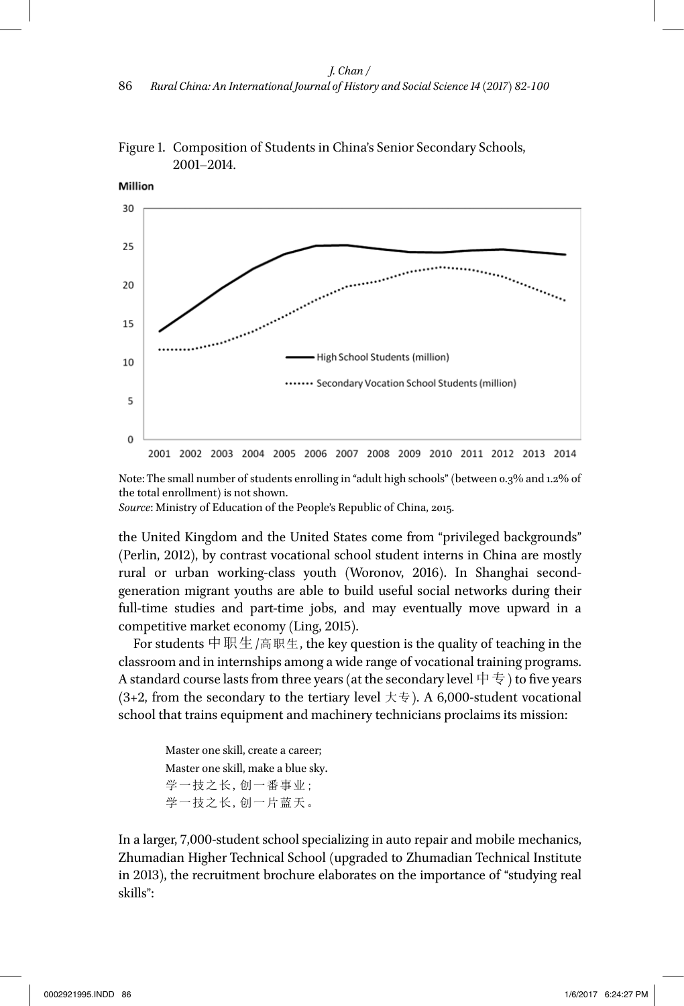



Note: The small number of students enrolling in "adult high schools" (between 0.3% and 1.2% of the total enrollment) is not shown.

*Source*: Ministry of Education of the People's Republic of China, 2015.

the United Kingdom and the United States come from "privileged backgrounds" (Perlin, 2012), by contrast vocational school student interns in China are mostly rural or urban working-class youth (Woronov, 2016). In Shanghai secondgeneration migrant youths are able to build useful social networks during their full-time studies and part-time jobs, and may eventually move upward in a competitive market economy (Ling, 2015).

For students 中职生/高职生, the key question is the quality of teaching in the classroom and in internships among a wide range of vocational training programs. A standard course lasts from three years (at the secondary level  $\dagger \ddagger \ddagger$ ) to five years  $(3+2,$  from the secondary to the tertiary level  $\pm \pm$ ). A 6,000-student vocational school that trains equipment and machinery technicians proclaims its mission:

> Master one skill, create a career; Master one skill, make a blue sky. 学一技之长,创一番事业; 学一技之长,创一片蓝天。

In a larger, 7,000-student school specializing in auto repair and mobile mechanics, Zhumadian Higher Technical School (upgraded to Zhumadian Technical Institute in 2013), the recruitment brochure elaborates on the importance of "studying real skills":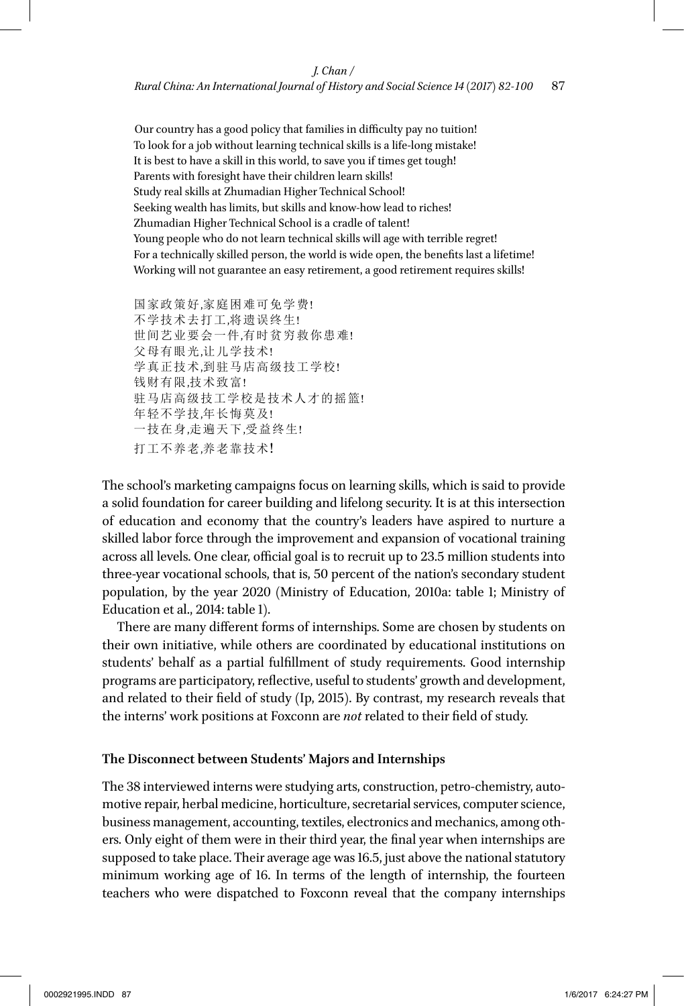87 *Rural China: An International Journal of History and Social Science 14 (2017) 82-100*

Our country has a good policy that families in difficulty pay no tuition! To look for a job without learning technical skills is a life-long mistake! It is best to have a skill in this world, to save you if times get tough! Parents with foresight have their children learn skills! Study real skills at Zhumadian Higher Technical School! Seeking wealth has limits, but skills and know-how lead to riches! Zhumadian Higher Technical School is a cradle of talent! Young people who do not learn technical skills will age with terrible regret! For a technically skilled person, the world is wide open, the benefits last a lifetime! Working will not guarantee an easy retirement, a good retirement requires skills!

国家政策好,家庭困难可免学费! 不学技术去打工,将遗误终生! 世间艺业要会一件,有时贫穷救你患难! 父母有眼光,让儿学技术! 学真正技术,到驻马店高级技工学校! 钱财有限,技术致富! 驻马店高级技工学校是技术人才的摇篮! 年轻不学技,年长悔莫及! 一技在身,走遍天下,受益终生! 打工不养老,养老靠技术!

The school's marketing campaigns focus on learning skills, which is said to provide a solid foundation for career building and lifelong security. It is at this intersection of education and economy that the country's leaders have aspired to nurture a skilled labor force through the improvement and expansion of vocational training across all levels. One clear, official goal is to recruit up to 23.5 million students into three-year vocational schools, that is, 50 percent of the nation's secondary student population, by the year 2020 (Ministry of Education, 2010a: table 1; Ministry of Education et al., 2014: table 1).

There are many different forms of internships. Some are chosen by students on their own initiative, while others are coordinated by educational institutions on students' behalf as a partial fulfillment of study requirements. Good internship programs are participatory, reflective, useful to students' growth and development, and related to their field of study (Ip, 2015). By contrast, my research reveals that the interns' work positions at Foxconn are *not* related to their field of study.

### **The Disconnect between Students' Majors and Internships**

The 38 interviewed interns were studying arts, construction, petro-chemistry, automotive repair, herbal medicine, horticulture, secretarial services, computer science, business management, accounting, textiles, electronics and mechanics, among others. Only eight of them were in their third year, the final year when internships are supposed to take place. Their average age was 16.5, just above the national statutory minimum working age of 16. In terms of the length of internship, the fourteen teachers who were dispatched to Foxconn reveal that the company internships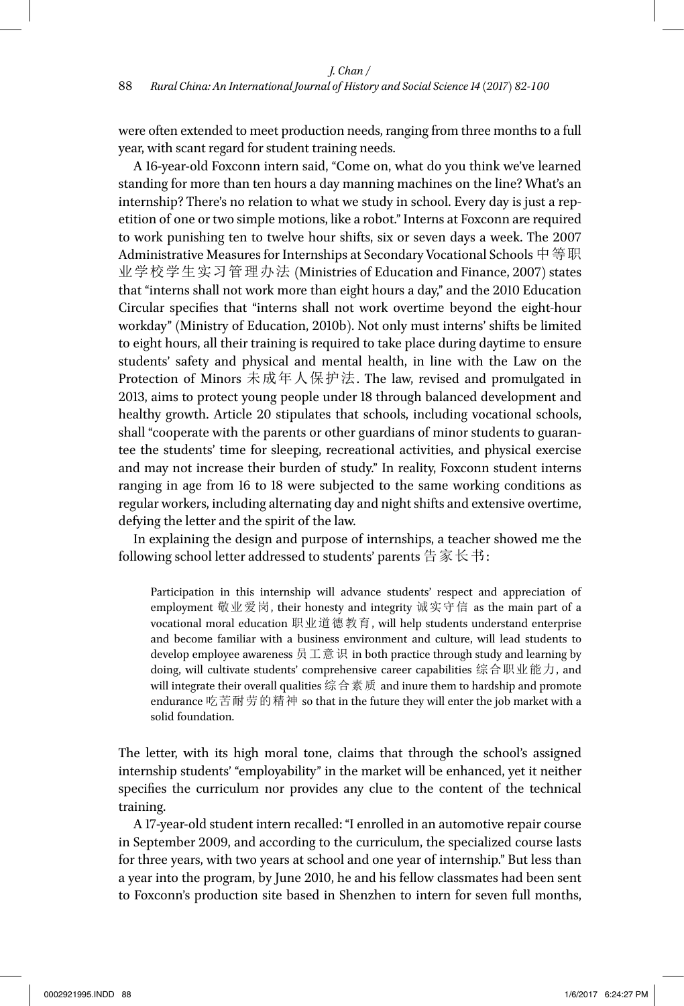were often extended to meet production needs, ranging from three months to a full year, with scant regard for student training needs.

A 16-year-old Foxconn intern said, "Come on, what do you think we've learned standing for more than ten hours a day manning machines on the line? What's an internship? There's no relation to what we study in school. Every day is just a repetition of one or two simple motions, like a robot." Interns at Foxconn are required to work punishing ten to twelve hour shifts, six or seven days a week. The 2007 Administrative Measures for Internships at Secondary Vocational Schools 中等职 业学校学生实习管理办法 (Ministries of Education and Finance, 2007) states that "interns shall not work more than eight hours a day," and the 2010 Education Circular specifies that "interns shall not work overtime beyond the eight-hour workday" (Ministry of Education, 2010b). Not only must interns' shifts be limited to eight hours, all their training is required to take place during daytime to ensure students' safety and physical and mental health, in line with the Law on the Protection of Minors 未成年人保护法. The law, revised and promulgated in 2013, aims to protect young people under 18 through balanced development and healthy growth. Article 20 stipulates that schools, including vocational schools, shall "cooperate with the parents or other guardians of minor students to guarantee the students' time for sleeping, recreational activities, and physical exercise and may not increase their burden of study." In reality, Foxconn student interns ranging in age from 16 to 18 were subjected to the same working conditions as regular workers, including alternating day and night shifts and extensive overtime, defying the letter and the spirit of the law.

In explaining the design and purpose of internships, a teacher showed me the following school letter addressed to students' parents 告家长书:

Participation in this internship will advance students' respect and appreciation of employment 敬业爱岗, their honesty and integrity 诚实守信 as the main part of a vocational moral education 职业道德教育, will help students understand enterprise and become familiar with a business environment and culture, will lead students to develop employee awareness 员工意识 in both practice through study and learning by doing, will cultivate students' comprehensive career capabilities 综合职业能力, and will integrate their overall qualities 综合素质 and inure them to hardship and promote endurance 吃苦耐劳的精神 so that in the future they will enter the job market with a solid foundation.

The letter, with its high moral tone, claims that through the school's assigned internship students' "employability" in the market will be enhanced, yet it neither specifies the curriculum nor provides any clue to the content of the technical training.

A 17-year-old student intern recalled: "I enrolled in an automotive repair course in September 2009, and according to the curriculum, the specialized course lasts for three years, with two years at school and one year of internship." But less than a year into the program, by June 2010, he and his fellow classmates had been sent to Foxconn's production site based in Shenzhen to intern for seven full months,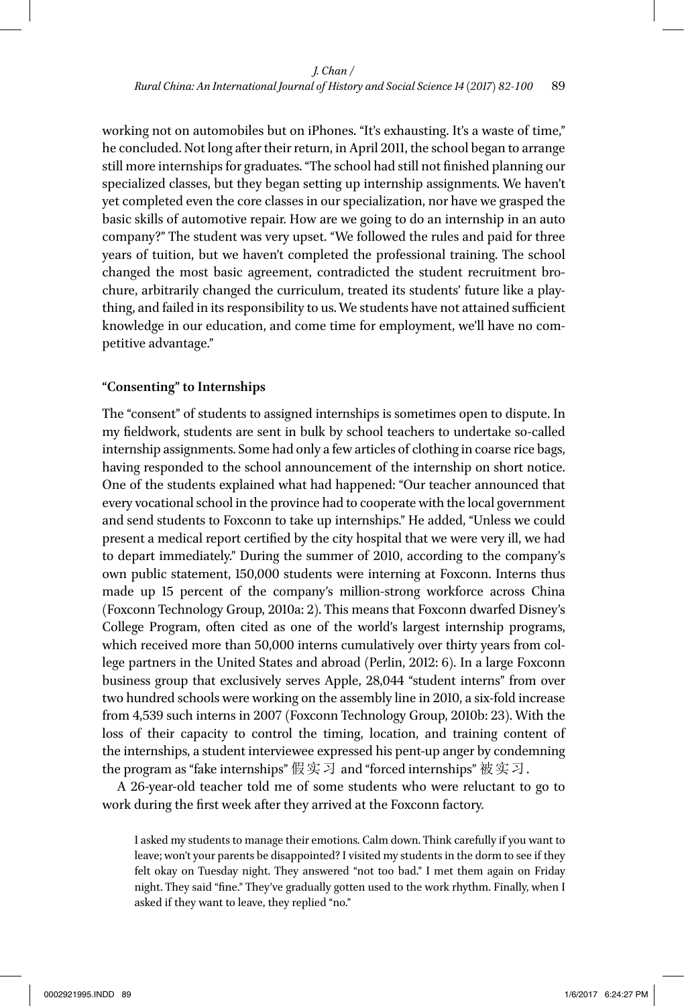working not on automobiles but on iPhones. "It's exhausting. It's a waste of time," he concluded. Not long after their return, in April 2011, the school began to arrange still more internships for graduates. "The school had still not finished planning our specialized classes, but they began setting up internship assignments. We haven't yet completed even the core classes in our specialization, nor have we grasped the basic skills of automotive repair. How are we going to do an internship in an auto company?" The student was very upset. "We followed the rules and paid for three years of tuition, but we haven't completed the professional training. The school changed the most basic agreement, contradicted the student recruitment brochure, arbitrarily changed the curriculum, treated its students' future like a plaything, and failed in its responsibility to us. We students have not attained sufficient knowledge in our education, and come time for employment, we'll have no competitive advantage."

## **"Consenting" to Internships**

The "consent" of students to assigned internships is sometimes open to dispute. In my fieldwork, students are sent in bulk by school teachers to undertake so-called internship assignments. Some had only a few articles of clothing in coarse rice bags, having responded to the school announcement of the internship on short notice. One of the students explained what had happened: "Our teacher announced that every vocational school in the province had to cooperate with the local government and send students to Foxconn to take up internships." He added, "Unless we could present a medical report certified by the city hospital that we were very ill, we had to depart immediately." During the summer of 2010, according to the company's own public statement, 150,000 students were interning at Foxconn. Interns thus made up 15 percent of the company's million-strong workforce across China (Foxconn Technology Group, 2010a: 2). This means that Foxconn dwarfed Disney's College Program, often cited as one of the world's largest internship programs, which received more than 50,000 interns cumulatively over thirty years from college partners in the United States and abroad (Perlin, 2012: 6). In a large Foxconn business group that exclusively serves Apple, 28,044 "student interns" from over two hundred schools were working on the assembly line in 2010, a six-fold increase from 4,539 such interns in 2007 (Foxconn Technology Group, 2010b: 23). With the loss of their capacity to control the timing, location, and training content of the internships, a student interviewee expressed his pent-up anger by condemning the program as "fake internships" 假实习 and "forced internships" 被实习.

A 26-year-old teacher told me of some students who were reluctant to go to work during the first week after they arrived at the Foxconn factory.

I asked my students to manage their emotions. Calm down. Think carefully if you want to leave; won't your parents be disappointed? I visited my students in the dorm to see if they felt okay on Tuesday night. They answered "not too bad." I met them again on Friday night. They said "fine." They've gradually gotten used to the work rhythm. Finally, when I asked if they want to leave, they replied "no."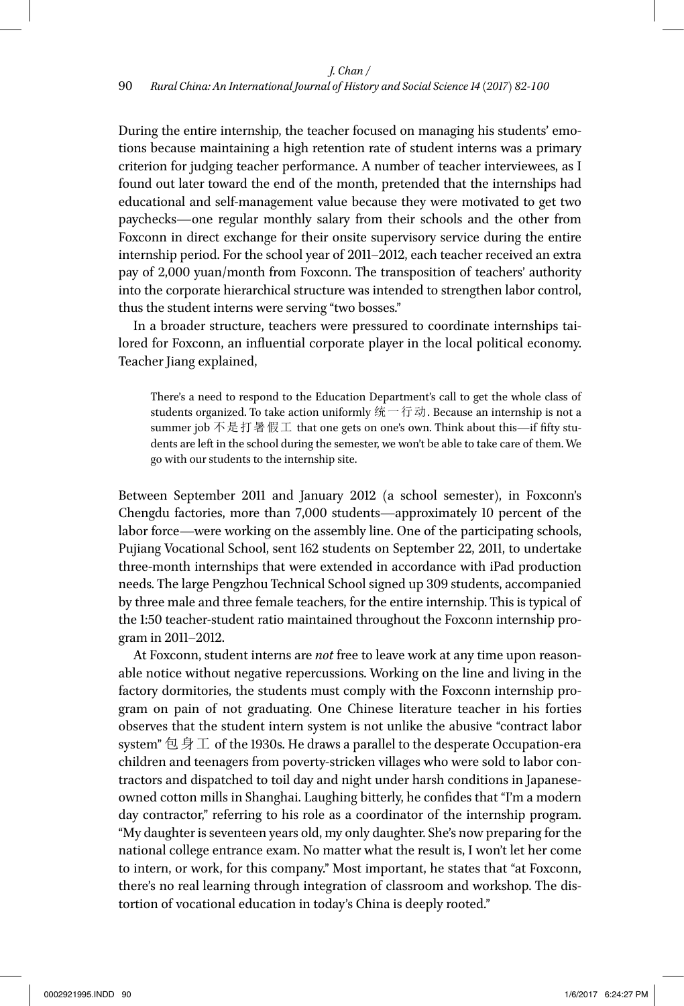During the entire internship, the teacher focused on managing his students' emotions because maintaining a high retention rate of student interns was a primary criterion for judging teacher performance. A number of teacher interviewees, as I found out later toward the end of the month, pretended that the internships had educational and self-management value because they were motivated to get two paychecks—one regular monthly salary from their schools and the other from Foxconn in direct exchange for their onsite supervisory service during the entire internship period. For the school year of 2011–2012, each teacher received an extra pay of 2,000 yuan/month from Foxconn. The transposition of teachers' authority into the corporate hierarchical structure was intended to strengthen labor control, thus the student interns were serving "two bosses."

In a broader structure, teachers were pressured to coordinate internships tailored for Foxconn, an influential corporate player in the local political economy. Teacher Jiang explained,

There's a need to respond to the Education Department's call to get the whole class of students organized. To take action uniformly 统一行动. Because an internship is not a summer job 不是打暑假工 that one gets on one's own. Think about this—if fifty students are left in the school during the semester, we won't be able to take care of them. We go with our students to the internship site.

Between September 2011 and January 2012 (a school semester), in Foxconn's Chengdu factories, more than 7,000 students—approximately 10 percent of the labor force—were working on the assembly line. One of the participating schools, Pujiang Vocational School, sent 162 students on September 22, 2011, to undertake three-month internships that were extended in accordance with iPad production needs. The large Pengzhou Technical School signed up 309 students, accompanied by three male and three female teachers, for the entire internship. This is typical of the 1:50 teacher-student ratio maintained throughout the Foxconn internship program in 2011–2012.

At Foxconn, student interns are *not* free to leave work at any time upon reasonable notice without negative repercussions. Working on the line and living in the factory dormitories, the students must comply with the Foxconn internship program on pain of not graduating. One Chinese literature teacher in his forties observes that the student intern system is not unlike the abusive "contract labor system" 包身工 of the 1930s. He draws a parallel to the desperate Occupation-era children and teenagers from poverty-stricken villages who were sold to labor contractors and dispatched to toil day and night under harsh conditions in Japaneseowned cotton mills in Shanghai. Laughing bitterly, he confides that "I'm a modern day contractor," referring to his role as a coordinator of the internship program. "My daughter is seventeen years old, my only daughter. She's now preparing for the national college entrance exam. No matter what the result is, I won't let her come to intern, or work, for this company." Most important, he states that "at Foxconn, there's no real learning through integration of classroom and workshop. The distortion of vocational education in today's China is deeply rooted."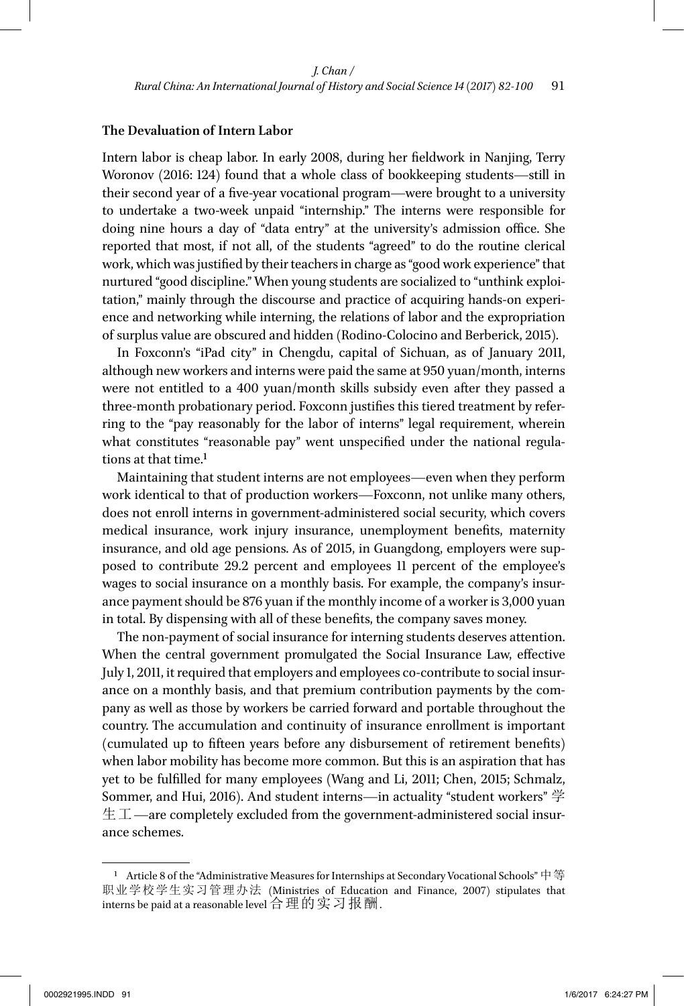## **The Devaluation of Intern Labor**

Intern labor is cheap labor. In early 2008, during her fieldwork in Nanjing, Terry Woronov (2016: 124) found that a whole class of bookkeeping students—still in their second year of a five-year vocational program—were brought to a university to undertake a two-week unpaid "internship." The interns were responsible for doing nine hours a day of "data entry" at the university's admission office. She reported that most, if not all, of the students "agreed" to do the routine clerical work, which was justified by their teachers in charge as "good work experience" that nurtured "good discipline." When young students are socialized to "unthink exploitation," mainly through the discourse and practice of acquiring hands-on experience and networking while interning, the relations of labor and the expropriation of surplus value are obscured and hidden (Rodino-Colocino and Berberick, 2015).

In Foxconn's "iPad city" in Chengdu, capital of Sichuan, as of January 2011, although new workers and interns were paid the same at 950 yuan/month, interns were not entitled to a 400 yuan/month skills subsidy even after they passed a three-month probationary period. Foxconn justifies this tiered treatment by referring to the "pay reasonably for the labor of interns" legal requirement, wherein what constitutes "reasonable pay" went unspecified under the national regulations at that time.<sup>1</sup>

Maintaining that student interns are not employees—even when they perform work identical to that of production workers—Foxconn, not unlike many others, does not enroll interns in government-administered social security, which covers medical insurance, work injury insurance, unemployment benefits, maternity insurance, and old age pensions. As of 2015, in Guangdong, employers were supposed to contribute 29.2 percent and employees 11 percent of the employee's wages to social insurance on a monthly basis. For example, the company's insurance payment should be 876 yuan if the monthly income of a worker is 3,000 yuan in total. By dispensing with all of these benefits, the company saves money.

The non-payment of social insurance for interning students deserves attention. When the central government promulgated the Social Insurance Law, effective July 1, 2011, it required that employers and employees co-contribute to social insurance on a monthly basis, and that premium contribution payments by the company as well as those by workers be carried forward and portable throughout the country. The accumulation and continuity of insurance enrollment is important (cumulated up to fifteen years before any disbursement of retirement benefits) when labor mobility has become more common. But this is an aspiration that has yet to be fulfilled for many employees (Wang and Li, 2011; Chen, 2015; Schmalz, Sommer, and Hui, 2016). And student interns—in actuality "student workers" 学 生工—are completely excluded from the government-administered social insurance schemes.

 $^1$  Article 8 of the "Administrative Measures for Internships at Secondary Vocational Schools" 中等 职业学校学生实习管理办法 (Ministries of Education and Finance, 2007) stipulates that interns be paid at a reasonable level 合理的实习报酬.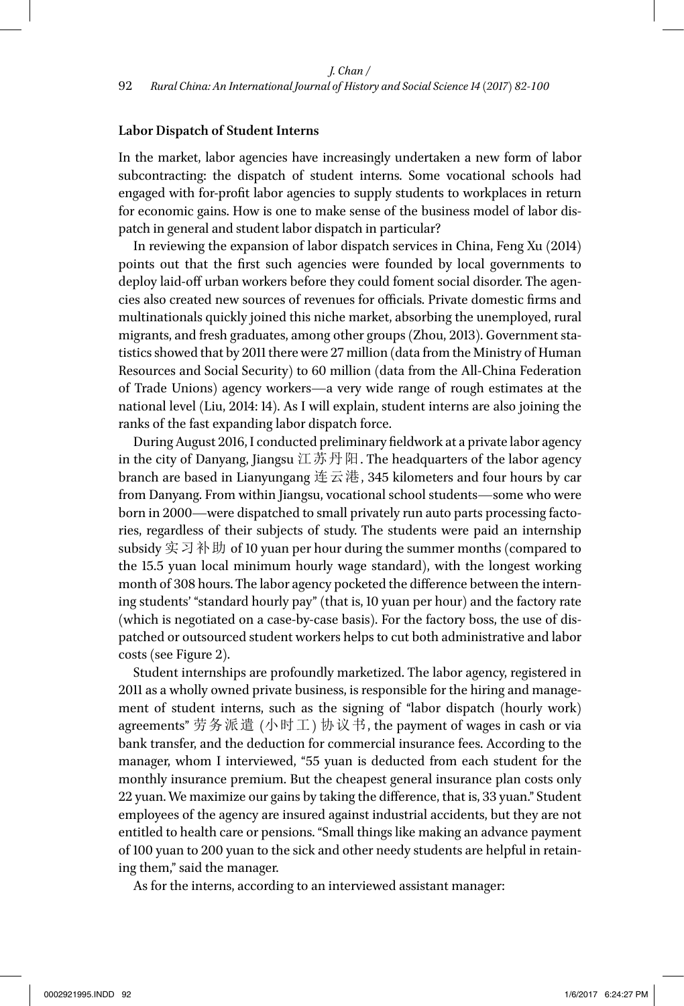## **Labor Dispatch of Student Interns**

In the market, labor agencies have increasingly undertaken a new form of labor subcontracting: the dispatch of student interns. Some vocational schools had engaged with for-profit labor agencies to supply students to workplaces in return for economic gains. How is one to make sense of the business model of labor dispatch in general and student labor dispatch in particular?

In reviewing the expansion of labor dispatch services in China, Feng Xu (2014) points out that the first such agencies were founded by local governments to deploy laid-off urban workers before they could foment social disorder. The agencies also created new sources of revenues for officials. Private domestic firms and multinationals quickly joined this niche market, absorbing the unemployed, rural migrants, and fresh graduates, among other groups (Zhou, 2013). Government statistics showed that by 2011 there were 27 million (data from the Ministry of Human Resources and Social Security) to 60 million (data from the All-China Federation of Trade Unions) agency workers—a very wide range of rough estimates at the national level (Liu, 2014: 14). As I will explain, student interns are also joining the ranks of the fast expanding labor dispatch force.

During August 2016, I conducted preliminary fieldwork at a private labor agency in the city of Danyang, Jiangsu 江苏丹阳. The headquarters of the labor agency branch are based in Lianyungang 连云港, 345 kilometers and four hours by car from Danyang. From within Jiangsu, vocational school students—some who were born in 2000—were dispatched to small privately run auto parts processing factories, regardless of their subjects of study. The students were paid an internship subsidy 实习补助 of 10 yuan per hour during the summer months (compared to the 15.5 yuan local minimum hourly wage standard), with the longest working month of 308 hours. The labor agency pocketed the difference between the interning students' "standard hourly pay" (that is, 10 yuan per hour) and the factory rate (which is negotiated on a case-by-case basis). For the factory boss, the use of dispatched or outsourced student workers helps to cut both administrative and labor costs (see Figure 2).

Student internships are profoundly marketized. The labor agency, registered in 2011 as a wholly owned private business, is responsible for the hiring and management of student interns, such as the signing of "labor dispatch (hourly work) agreements" 劳务派遣 (小时工) 协议书, the payment of wages in cash or via bank transfer, and the deduction for commercial insurance fees. According to the manager, whom I interviewed, "55 yuan is deducted from each student for the monthly insurance premium. But the cheapest general insurance plan costs only 22 yuan. We maximize our gains by taking the difference, that is, 33 yuan." Student employees of the agency are insured against industrial accidents, but they are not entitled to health care or pensions. "Small things like making an advance payment of 100 yuan to 200 yuan to the sick and other needy students are helpful in retaining them," said the manager.

As for the interns, according to an interviewed assistant manager: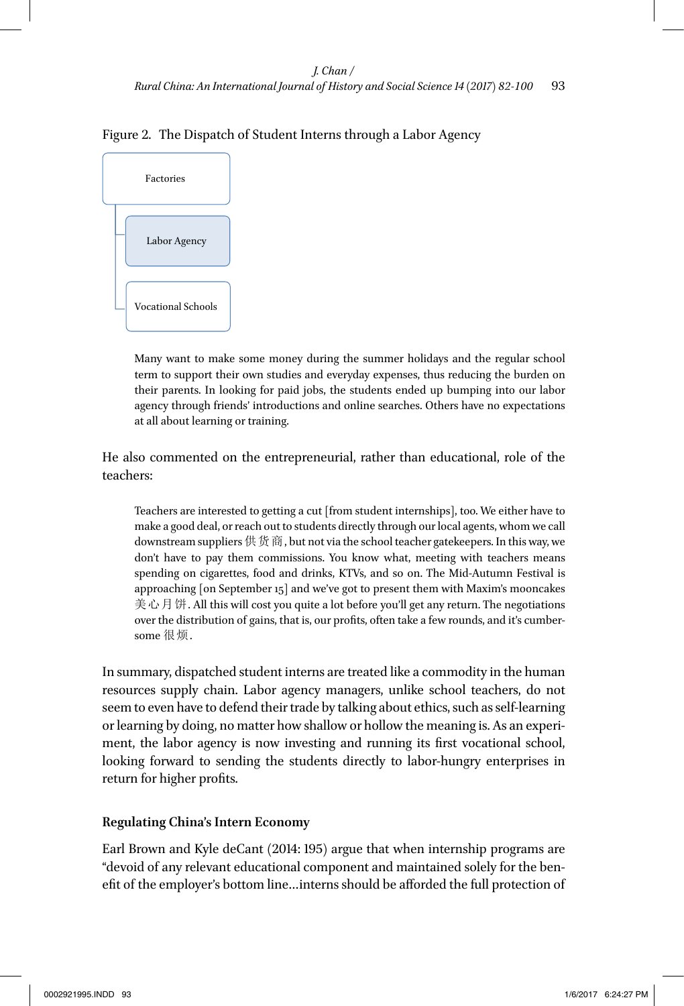

## Figure 2. The Dispatch of Student Interns through a Labor Agency

Many want to make some money during the summer holidays and the regular school term to support their own studies and everyday expenses, thus reducing the burden on their parents. In looking for paid jobs, the students ended up bumping into our labor agency through friends' introductions and online searches. Others have no expectations at all about learning or training.

He also commented on the entrepreneurial, rather than educational, role of the teachers:

Teachers are interested to getting a cut [from student internships], too. We either have to make a good deal, or reach out to students directly through our local agents, whom we call downstream suppliers 供货商, but not via the school teacher gatekeepers. In this way, we don't have to pay them commissions. You know what, meeting with teachers means spending on cigarettes, food and drinks, KTVs, and so on. The Mid-Autumn Festival is approaching [on September 15] and we've got to present them with Maxim's mooncakes 美心月饼. All this will cost you quite a lot before you'll get any return. The negotiations over the distribution of gains, that is, our profits, often take a few rounds, and it's cumbersome 很烦.

In summary, dispatched student interns are treated like a commodity in the human resources supply chain. Labor agency managers, unlike school teachers, do not seem to even have to defend their trade by talking about ethics, such as self-learning or learning by doing, no matter how shallow or hollow the meaning is. As an experiment, the labor agency is now investing and running its first vocational school, looking forward to sending the students directly to labor-hungry enterprises in return for higher profits.

## **Regulating China's Intern Economy**

Earl Brown and Kyle deCant (2014: 195) argue that when internship programs are "devoid of any relevant educational component and maintained solely for the benefit of the employer's bottom line…interns should be afforded the full protection of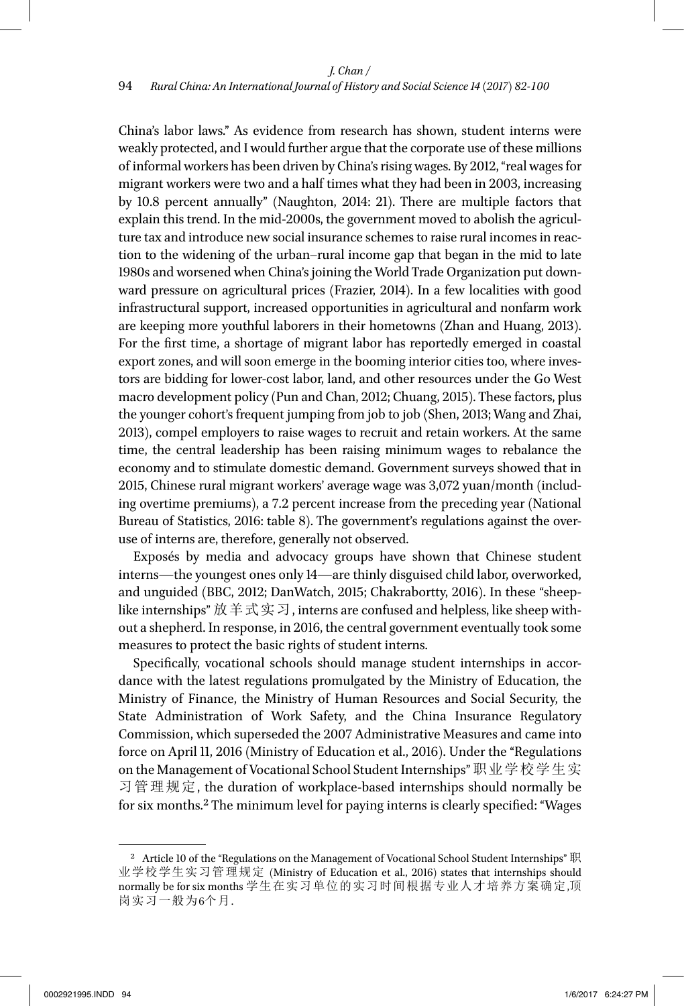### 94 *Rural China: An International Journal of History and Social Science 14 (2017) 82-100*

China's labor laws." As evidence from research has shown, student interns were weakly protected, and I would further argue that the corporate use of these millions of informal workers has been driven by China's rising wages. By 2012, "real wages for migrant workers were two and a half times what they had been in 2003, increasing by 10.8 percent annually" (Naughton, 2014: 21). There are multiple factors that explain this trend. In the mid-2000s, the government moved to abolish the agriculture tax and introduce new social insurance schemes to raise rural incomes in reaction to the widening of the urban–rural income gap that began in the mid to late 1980s and worsened when China's joining the World Trade Organization put downward pressure on agricultural prices (Frazier, 2014). In a few localities with good infrastructural support, increased opportunities in agricultural and nonfarm work are keeping more youthful laborers in their hometowns (Zhan and Huang, 2013). For the first time, a shortage of migrant labor has reportedly emerged in coastal export zones, and will soon emerge in the booming interior cities too, where investors are bidding for lower-cost labor, land, and other resources under the Go West macro development policy (Pun and Chan, 2012; Chuang, 2015). These factors, plus the younger cohort's frequent jumping from job to job (Shen, 2013; Wang and Zhai, 2013), compel employers to raise wages to recruit and retain workers. At the same time, the central leadership has been raising minimum wages to rebalance the economy and to stimulate domestic demand. Government surveys showed that in 2015, Chinese rural migrant workers' average wage was 3,072 yuan/month (including overtime premiums), a 7.2 percent increase from the preceding year (National Bureau of Statistics, 2016: table 8). The government's regulations against the overuse of interns are, therefore, generally not observed.

Exposés by media and advocacy groups have shown that Chinese student interns—the youngest ones only 14—are thinly disguised child labor, overworked, and unguided (BBC, 2012; DanWatch, 2015; Chakrabortty, 2016). In these "sheeplike internships" 放羊式实习, interns are confused and helpless, like sheep without a shepherd. In response, in 2016, the central government eventually took some measures to protect the basic rights of student interns.

Specifically, vocational schools should manage student internships in accordance with the latest regulations promulgated by the Ministry of Education, the Ministry of Finance, the Ministry of Human Resources and Social Security, the State Administration of Work Safety, and the China Insurance Regulatory Commission, which superseded the 2007 Administrative Measures and came into force on April 11, 2016 (Ministry of Education et al., 2016). Under the "Regulations on the Management of Vocational School Student Internships" 职业学校学生实 习管理规定, the duration of workplace-based internships should normally be for six months.2 The minimum level for paying interns is clearly specified: "Wages

<sup>&</sup>lt;sup>2</sup> Article 10 of the "Regulations on the Management of Vocational School Student Internships"  $\mathbb{R}$ 业学校学生实习管理规定 (Ministry of Education et al., 2016) states that internships should normally be for six months 学生在实习单位的实习时间根据专业人才培养方案确定,顶 岗实习一般为6个月.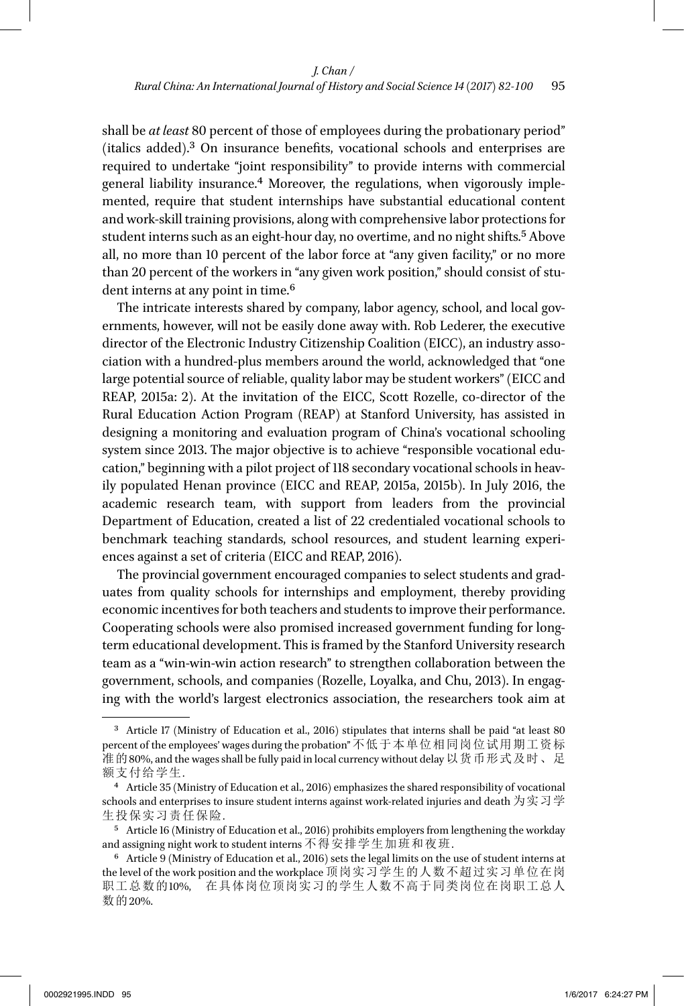shall be *at least* 80 percent of those of employees during the probationary period" (italics added).3 On insurance benefits, vocational schools and enterprises are required to undertake "joint responsibility" to provide interns with commercial general liability insurance.4 Moreover, the regulations, when vigorously implemented, require that student internships have substantial educational content and work-skill training provisions, along with comprehensive labor protections for student interns such as an eight-hour day, no overtime, and no night shifts.<sup>5</sup> Above all, no more than 10 percent of the labor force at "any given facility," or no more than 20 percent of the workers in "any given work position," should consist of student interns at any point in time.<sup>6</sup>

The intricate interests shared by company, labor agency, school, and local governments, however, will not be easily done away with. Rob Lederer, the executive director of the Electronic Industry Citizenship Coalition (EICC), an industry association with a hundred-plus members around the world, acknowledged that "one large potential source of reliable, quality labor may be student workers" (EICC and REAP, 2015a: 2). At the invitation of the EICC, Scott Rozelle, co-director of the Rural Education Action Program (REAP) at Stanford University, has assisted in designing a monitoring and evaluation program of China's vocational schooling system since 2013. The major objective is to achieve "responsible vocational education," beginning with a pilot project of 118 secondary vocational schools in heavily populated Henan province (EICC and REAP, 2015a, 2015b). In July 2016, the academic research team, with support from leaders from the provincial Department of Education, created a list of 22 credentialed vocational schools to benchmark teaching standards, school resources, and student learning experiences against a set of criteria (EICC and REAP, 2016).

The provincial government encouraged companies to select students and graduates from quality schools for internships and employment, thereby providing economic incentives for both teachers and students to improve their performance. Cooperating schools were also promised increased government funding for longterm educational development. This is framed by the Stanford University research team as a "win-win-win action research" to strengthen collaboration between the government, schools, and companies (Rozelle, Loyalka, and Chu, 2013). In engaging with the world's largest electronics association, the researchers took aim at

<sup>3</sup> Article 17 (Ministry of Education et al., 2016) stipulates that interns shall be paid "at least 80 percent of the employees' wages during the probation" 不低于本单位相同岗位试用期工资标 准的80%, and the wages shall be fully paid in local currency without delay 以货币形式及时、足 额支付给学生.

<sup>4</sup> Article 35 (Ministry of Education et al., 2016) emphasizes the shared responsibility of vocational schools and enterprises to insure student interns against work-related injuries and death 为实习学 生投保实习责任保险.

<sup>5</sup> Article 16 (Ministry of Education et al., 2016) prohibits employers from lengthening the workday and assigning night work to student interns 不得安排学生加班和夜班.

<sup>6</sup> Article 9 (Ministry of Education et al., 2016) sets the legal limits on the use of student interns at the level of the work position and the workplace 顶岗实习学生的人数不超过实习单位在岗 职工总数的10%, 在具体岗位顶岗实习的学生人数不高于同类岗位在岗职工总人 数的20%.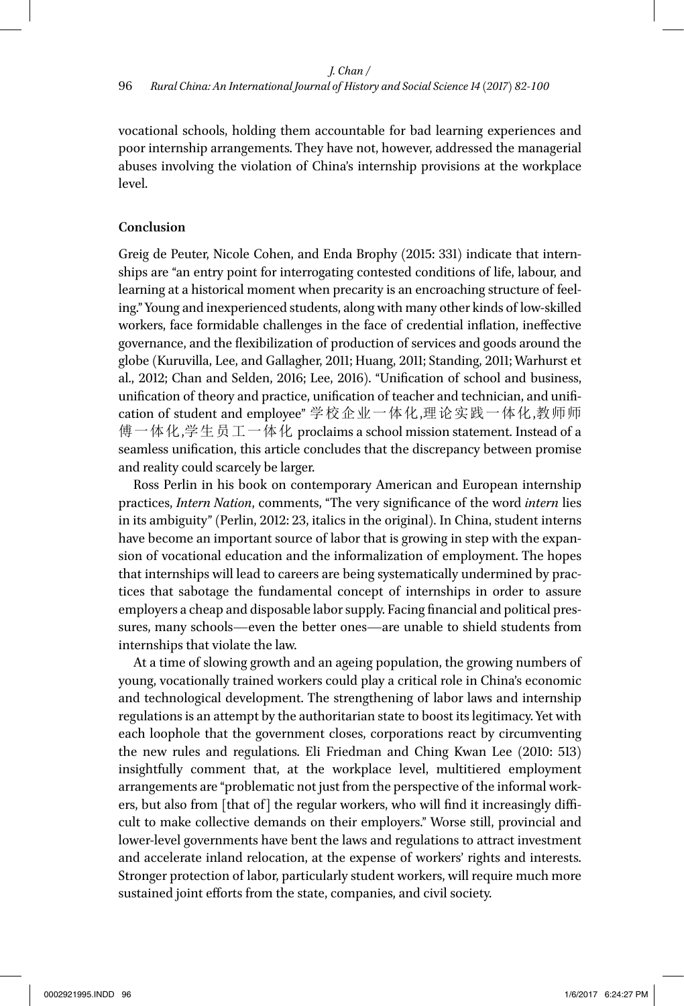## 96 *Rural China: An International Journal of History and Social Science 14 (2017) 82-100*

vocational schools, holding them accountable for bad learning experiences and poor internship arrangements. They have not, however, addressed the managerial abuses involving the violation of China's internship provisions at the workplace level.

### **Conclusion**

Greig de Peuter, Nicole Cohen, and Enda Brophy (2015: 331) indicate that internships are "an entry point for interrogating contested conditions of life, labour, and learning at a historical moment when precarity is an encroaching structure of feeling." Young and inexperienced students, along with many other kinds of low-skilled workers, face formidable challenges in the face of credential inflation, ineffective governance, and the flexibilization of production of services and goods around the globe (Kuruvilla, Lee, and Gallagher, 2011; Huang, 2011; Standing, 2011; Warhurst et al., 2012; Chan and Selden, 2016; Lee, 2016). "Unification of school and business, unification of theory and practice, unification of teacher and technician, and unification of student and employee" 学校企业一体化,理论实践一体化,教师师 傅一体化,学生员工一体化 proclaims a school mission statement. Instead of a seamless unification, this article concludes that the discrepancy between promise and reality could scarcely be larger.

Ross Perlin in his book on contemporary American and European internship practices, *Intern Nation*, comments, "The very significance of the word *intern* lies in its ambiguity" (Perlin, 2012: 23, italics in the original). In China, student interns have become an important source of labor that is growing in step with the expansion of vocational education and the informalization of employment. The hopes that internships will lead to careers are being systematically undermined by practices that sabotage the fundamental concept of internships in order to assure employers a cheap and disposable labor supply. Facing financial and political pressures, many schools—even the better ones—are unable to shield students from internships that violate the law.

At a time of slowing growth and an ageing population, the growing numbers of young, vocationally trained workers could play a critical role in China's economic and technological development. The strengthening of labor laws and internship regulations is an attempt by the authoritarian state to boost its legitimacy. Yet with each loophole that the government closes, corporations react by circumventing the new rules and regulations. Eli Friedman and Ching Kwan Lee (2010: 513) insightfully comment that, at the workplace level, multitiered employment arrangements are "problematic not just from the perspective of the informal workers, but also from [that of] the regular workers, who will find it increasingly difficult to make collective demands on their employers." Worse still, provincial and lower-level governments have bent the laws and regulations to attract investment and accelerate inland relocation, at the expense of workers' rights and interests. Stronger protection of labor, particularly student workers, will require much more sustained joint efforts from the state, companies, and civil society.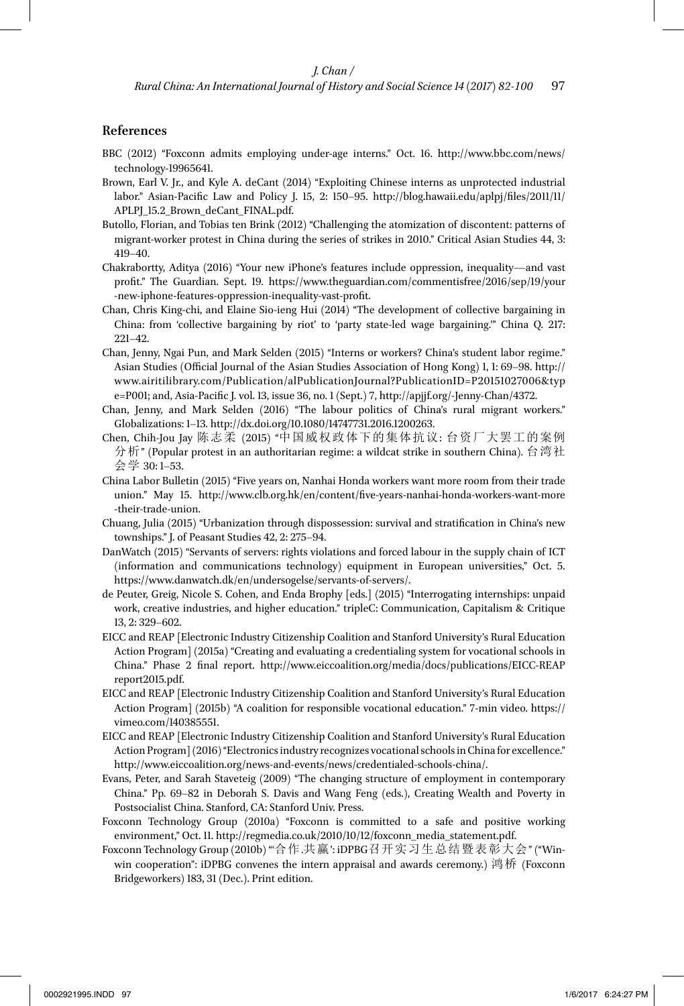### **References**

- BBC (2012) "Foxconn admits employing under-age interns." Oct. 16. http://www.bbc.com/news/ technology-19965641.
- Brown, Earl V. Jr., and Kyle A. deCant (2014) "Exploiting Chinese interns as unprotected industrial labor." Asian-Pacific Law and Policy J. 15, 2: 150–95. http://blog.hawaii.edu/aplpj/files/2011/11/ APLPJ\_15.2\_Brown\_deCant\_FINAL.pdf.
- Butollo, Florian, and Tobias ten Brink (2012) "Challenging the atomization of discontent: patterns of migrant-worker protest in China during the series of strikes in 2010." Critical Asian Studies 44, 3: 419–40.
- Chakrabortty, Aditya (2016) "Your new iPhone's features include oppression, inequality—and vast profit." The Guardian. Sept. 19. https://www.theguardian.com/commentisfree/2016/sep/19/your -new-iphone-features-oppression-inequality-vast-profit.
- Chan, Chris King-chi, and Elaine Sio-ieng Hui (2014) "The development of collective bargaining in China: from 'collective bargaining by riot' to 'party state-led wage bargaining.'" China Q. 217: 221–42.
- Chan, Jenny, Ngai Pun, and Mark Selden (2015) "Interns or workers? China's student labor regime." Asian Studies (Official Journal of the Asian Studies Association of Hong Kong) 1, 1: 69–98. http:// www.airitilibrary.com/Publication/alPublicationJournal?PublicationID=P20151027006&typ e=P001; and, Asia-Pacific J. vol. 13, issue 36, no. 1 (Sept.) 7, http://apjjf.org/-Jenny-Chan/4372.
- Chan, Jenny, and Mark Selden (2016) "The labour politics of China's rural migrant workers." Globalizations: 1–13. http://dx.doi.org/10.1080/14747731.2016.1200263.
- Chen, Chih-Jou Jay 陈志柔 (2015) "中国威权政体下的集体抗议: 台资厂大罢工的案例 分析" (Popular protest in an authoritarian regime: a wildcat strike in southern China). 台湾社 会学 30: 1–53.
- China Labor Bulletin (2015) "Five years on, Nanhai Honda workers want more room from their trade union." May 15. http://www.clb.org.hk/en/content/five-years-nanhai-honda-workers-want-more -their-trade-union.
- Chuang, Julia (2015) "Urbanization through dispossession: survival and stratification in China's new townships." J. of Peasant Studies 42, 2: 275–94.
- DanWatch (2015) "Servants of servers: rights violations and forced labour in the supply chain of ICT (information and communications technology) equipment in European universities," Oct. 5. https://www.danwatch.dk/en/undersogelse/servants-of-servers/.
- de Peuter, Greig, Nicole S. Cohen, and Enda Brophy [eds.] (2015) "Interrogating internships: unpaid work, creative industries, and higher education." tripleC: Communication, Capitalism & Critique 13, 2: 329–602.
- EICC and REAP [Electronic Industry Citizenship Coalition and Stanford University's Rural Education Action Program] (2015a) "Creating and evaluating a credentialing system for vocational schools in China." Phase 2 final report. http://www.eiccoalition.org/media/docs/publications/EICC-REAP report2015.pdf.
- EICC and REAP [Electronic Industry Citizenship Coalition and Stanford University's Rural Education Action Program] (2015b) "A coalition for responsible vocational education." 7-min video. https:// vimeo.com/140385551.
- EICC and REAP [Electronic Industry Citizenship Coalition and Stanford University's Rural Education Action Program] (2016) "Electronics industry recognizes vocational schools in China for excellence." http://www.eiccoalition.org/news-and-events/news/credentialed-schools-china/.
- Evans, Peter, and Sarah Staveteig (2009) "The changing structure of employment in contemporary China." Pp. 69–82 in Deborah S. Davis and Wang Feng (eds.), Creating Wealth and Poverty in Postsocialist China. Stanford, CA: Stanford Univ. Press.
- Foxconn Technology Group (2010a) "Foxconn is committed to a safe and positive working environment," Oct. 11. http://regmedia.co.uk/2010/10/12/foxconn\_media\_statement.pdf.
- Foxconn Technology Group (2010b) "'合作.共赢': iDPBG召开实习生总结暨表彰大会" ("Winwin cooperation": iDPBG convenes the intern appraisal and awards ceremony.) 鸿桥 (Foxconn Bridgeworkers) 183, 31 (Dec.). Print edition.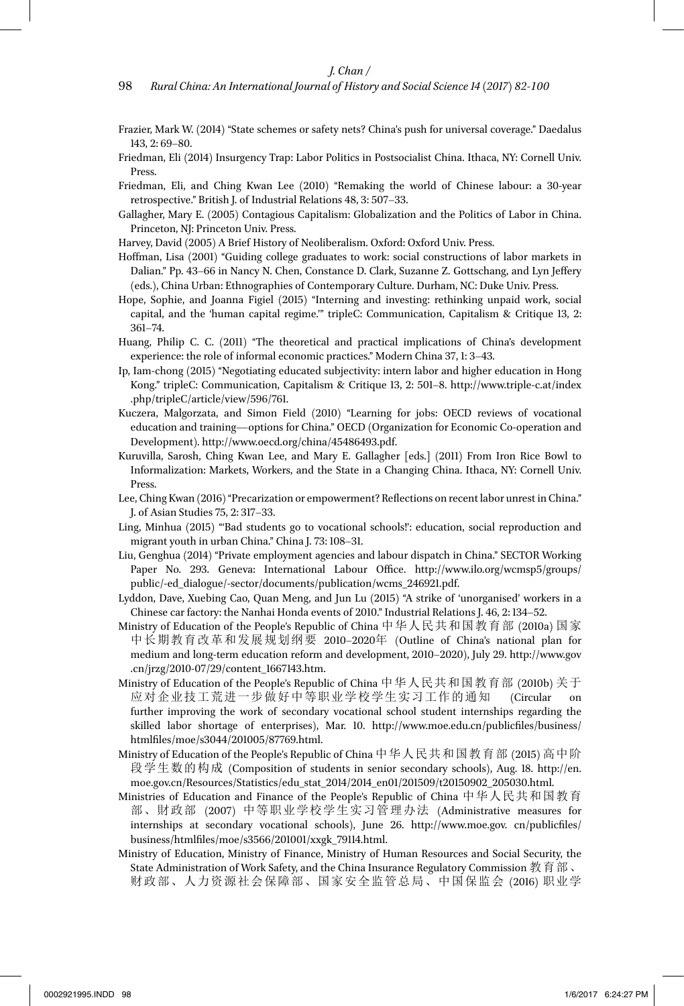98 *Rural China: An International Journal of History and Social Science 14 (2017) 82-100*

- Frazier, Mark W. (2014) "State schemes or safety nets? China's push for universal coverage." Daedalus 143, 2: 69–80.
- Friedman, Eli (2014) Insurgency Trap: Labor Politics in Postsocialist China. Ithaca, NY: Cornell Univ. Press.
- Friedman, Eli, and Ching Kwan Lee (2010) "Remaking the world of Chinese labour: a 30-year retrospective." British J. of Industrial Relations 48, 3: 507–33.
- Gallagher, Mary E. (2005) Contagious Capitalism: Globalization and the Politics of Labor in China. Princeton, NJ: Princeton Univ. Press.
- Harvey, David (2005) A Brief History of Neoliberalism. Oxford: Oxford Univ. Press.
- Hoffman, Lisa (2001) "Guiding college graduates to work: social constructions of labor markets in Dalian." Pp. 43–66 in Nancy N. Chen, Constance D. Clark, Suzanne Z. Gottschang, and Lyn Jeffery (eds.), China Urban: Ethnographies of Contemporary Culture. Durham, NC: Duke Univ. Press.
- Hope, Sophie, and Joanna Figiel (2015) "Interning and investing: rethinking unpaid work, social capital, and the 'human capital regime.'" tripleC: Communication, Capitalism & Critique 13, 2: 361–74.
- Huang, Philip C. C. (2011) "The theoretical and practical implications of China's development experience: the role of informal economic practices." Modern China 37, 1: 3–43.
- Ip, Iam-chong (2015) "Negotiating educated subjectivity: intern labor and higher education in Hong Kong." tripleC: Communication, Capitalism & Critique 13, 2: 501–8. http://www.triple-c.at/index .php/tripleC/article/view/596/761.
- Kuczera, Malgorzata, and Simon Field (2010) "Learning for jobs: OECD reviews of vocational education and training—options for China." OECD (Organization for Economic Co-operation and Development). http://www.oecd.org/china/45486493.pdf.
- Kuruvilla, Sarosh, Ching Kwan Lee, and Mary E. Gallagher [eds.] (2011) From Iron Rice Bowl to Informalization: Markets, Workers, and the State in a Changing China. Ithaca, NY: Cornell Univ. Press.
- Lee, Ching Kwan (2016) "Precarization or empowerment? Reflections on recent labor unrest in China." J. of Asian Studies 75, 2: 317–33.
- Ling, Minhua (2015) "'Bad students go to vocational schools!': education, social reproduction and migrant youth in urban China." China J. 73: 108–31.
- Liu, Genghua (2014) "Private employment agencies and labour dispatch in China." SECTOR Working Paper No. 293. Geneva: International Labour Office. http://www.ilo.org/wcmsp5/groups/ public/-ed\_dialogue/-sector/documents/publication/wcms\_246921.pdf.
- Lyddon, Dave, Xuebing Cao, Quan Meng, and Jun Lu (2015) "A strike of 'unorganised' workers in a Chinese car factory: the Nanhai Honda events of 2010." Industrial Relations J. 46, 2: 134–52.
- Ministry of Education of the People's Republic of China 中华人民共和国教育部 (2010a) 国家 中长期教育改革和发展规划纲要 2010–2020年 (Outline of China's national plan for medium and long-term education reform and development, 2010–2020), July 29. http://www.gov .cn/jrzg/2010-07/29/content\_1667143.htm.
- Ministry of Education of the People's Republic of China 中华人民共和国教育部 (2010b) 关于 应对企业技工荒进一步做好中等职业学校学生实习工作的通知 (Circular on further improving the work of secondary vocational school student internships regarding the skilled labor shortage of enterprises), Mar. 10. http://www.moe.edu.cn/publicfiles/business/ htmlfiles/moe/s3044/201005/87769.html.
- Ministry of Education of the People's Republic of China 中华人民共和国教育部 (2015) 高中阶 段学生数的构成 (Composition of students in senior secondary schools), Aug. 18. http://en. moe.gov.cn/Resources/Statistics/edu\_stat\_2014/2014\_en01/201509/t20150902\_205030.html.
- Ministries of Education and Finance of the People's Republic of China 中华人民共和国教育 部、財政部 (2007) 中等职业学校学生实习管理办法 (Administrative measures for internships at secondary vocational schools), June 26. http://www.moe.gov. cn/publicfiles/ business/htmlfiles/moe/s3566/201001/xxgk\_79114.html.
- Ministry of Education, Ministry of Finance, Ministry of Human Resources and Social Security, the State Administration of Work Safety, and the China Insurance Regulatory Commission 教育部、 财政部、人力资源社会保障部、国家安全监管总局、中国保监会 (2016) 职业学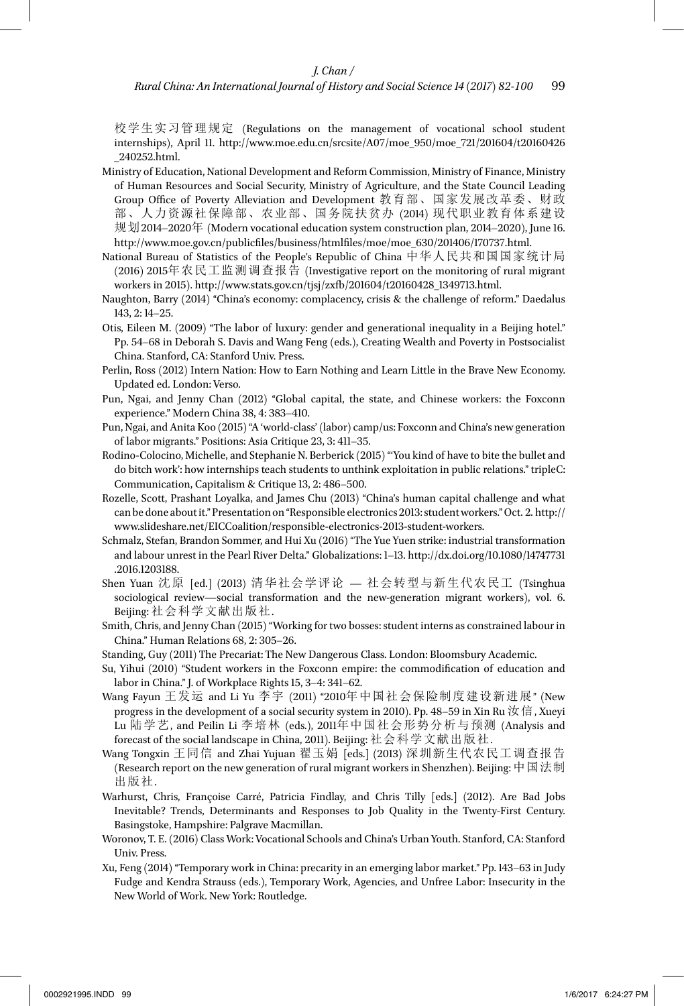99 *Rural China: An International Journal of History and Social Science 14 (2017) 82-100*

校学生实习管理规定 (Regulations on the management of vocational school student internships), April 11. http://www.moe.edu.cn/srcsite/A07/moe\_950/moe\_721/201604/t20160426 \_240252.html.

- Ministry of Education, National Development and Reform Commission, Ministry of Finance, Ministry of Human Resources and Social Security, Ministry of Agriculture, and the State Council Leading Group Office of Poverty Alleviation and Development 教育部、国家发展改革委、财政 部、人力资源社保障部、农业部、国务院扶贫办 (2014) 现代职业教育体系建设 规划2014–2020年 (Modern vocational education system construction plan, 2014–2020), June 16. http://www.moe.gov.cn/publicfiles/business/htmlfiles/moe/moe\_630/201406/170737.html.
- National Bureau of Statistics of the People's Republic of China 中华人民共和国国家统计局 (2016) 2015年农民工监测调查报告 (Investigative report on the monitoring of rural migrant workers in 2015). http://www.stats.gov.cn/tjsj/zxfb/201604/t20160428\_1349713.html.
- Naughton, Barry (2014) "China's economy: complacency, crisis & the challenge of reform." Daedalus 143, 2: 14–25.
- Otis, Eileen M. (2009) "The labor of luxury: gender and generational inequality in a Beijing hotel." Pp. 54–68 in Deborah S. Davis and Wang Feng (eds.), Creating Wealth and Poverty in Postsocialist China. Stanford, CA: Stanford Univ. Press.
- Perlin, Ross (2012) Intern Nation: How to Earn Nothing and Learn Little in the Brave New Economy. Updated ed. London: Verso.
- Pun, Ngai, and Jenny Chan (2012) "Global capital, the state, and Chinese workers: the Foxconn experience." Modern China 38, 4: 383–410.
- Pun, Ngai, and Anita Koo (2015) "A 'world-class' (labor) camp/us: Foxconn and China's new generation of labor migrants." Positions: Asia Critique 23, 3: 411–35.
- Rodino-Colocino, Michelle, and Stephanie N. Berberick (2015) "'You kind of have to bite the bullet and do bitch work': how internships teach students to unthink exploitation in public relations." tripleC: Communication, Capitalism & Critique 13, 2: 486–500.
- Rozelle, Scott, Prashant Loyalka, and James Chu (2013) "China's human capital challenge and what can be done about it." Presentation on "Responsible electronics 2013: student workers." Oct. 2. http:// www.slideshare.net/EICCoalition/responsible-electronics-2013-student-workers.
- Schmalz, Stefan, Brandon Sommer, and Hui Xu (2016) "The Yue Yuen strike: industrial transformation and labour unrest in the Pearl River Delta." Globalizations: 1–13. http://dx.doi.org/10.1080/14747731 .2016.1203188.
- Shen Yuan 沈原 [ed.] (2013) 清华社会学评论 社会转型与新生代农民工 (Tsinghua sociological review—social transformation and the new-generation migrant workers), vol. 6. Beijing: 社会科学文献出版社.
- Smith, Chris, and Jenny Chan (2015) "Working for two bosses: student interns as constrained labour in China." Human Relations 68, 2: 305–26.
- Standing, Guy (2011) The Precariat: The New Dangerous Class. London: Bloomsbury Academic.
- Su, Yihui (2010) "Student workers in the Foxconn empire: the commodification of education and labor in China." J. of Workplace Rights 15, 3–4: 341–62.
- Wang Fayun 王发运 and Li Yu 李宇 (2011) "2010年中国社会保险制度建设新进展" (New progress in the development of a social security system in 2010). Pp. 48–59 in Xin Ru 汝信, Xueyi Lu 陆学艺, and Peilin Li 李培林 (eds.), 2011年中国社会形势分析与预测 (Analysis and forecast of the social landscape in China, 2011). Beijing: 社会科学文献出版社.
- Wang Tongxin 王同信 and Zhai Yujuan 翟玉娟 [eds.] (2013) 深圳新生代农民工调查报告 (Research report on the new generation of rural migrant workers in Shenzhen). Beijing: 中国法制 出版社.
- Warhurst, Chris, Françoise Carré, Patricia Findlay, and Chris Tilly [eds.] (2012). Are Bad Jobs Inevitable? Trends, Determinants and Responses to Job Quality in the Twenty-First Century. Basingstoke, Hampshire: Palgrave Macmillan.
- Woronov, T. E. (2016) Class Work: Vocational Schools and China's Urban Youth. Stanford, CA: Stanford Univ. Press.
- Xu, Feng (2014) "Temporary work in China: precarity in an emerging labor market." Pp. 143–63 in Judy Fudge and Kendra Strauss (eds.), Temporary Work, Agencies, and Unfree Labor: Insecurity in the New World of Work. New York: Routledge.